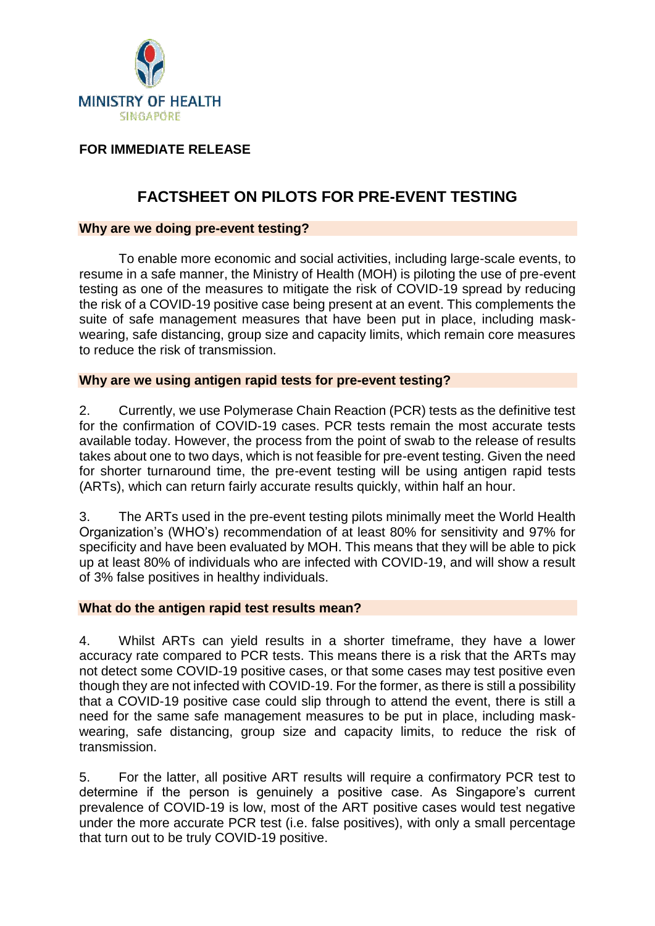

# **FOR IMMEDIATE RELEASE**

# **FACTSHEET ON PILOTS FOR PRE-EVENT TESTING**

### **Why are we doing pre-event testing?**

To enable more economic and social activities, including large-scale events, to resume in a safe manner, the Ministry of Health (MOH) is piloting the use of pre-event testing as one of the measures to mitigate the risk of COVID-19 spread by reducing the risk of a COVID-19 positive case being present at an event. This complements the suite of safe management measures that have been put in place, including maskwearing, safe distancing, group size and capacity limits, which remain core measures to reduce the risk of transmission.

#### **Why are we using antigen rapid tests for pre-event testing?**

2. Currently, we use Polymerase Chain Reaction (PCR) tests as the definitive test for the confirmation of COVID-19 cases. PCR tests remain the most accurate tests available today. However, the process from the point of swab to the release of results takes about one to two days, which is not feasible for pre-event testing. Given the need for shorter turnaround time, the pre-event testing will be using antigen rapid tests (ARTs), which can return fairly accurate results quickly, within half an hour.

3. The ARTs used in the pre-event testing pilots minimally meet the World Health Organization's (WHO's) recommendation of at least 80% for sensitivity and 97% for specificity and have been evaluated by MOH. This means that they will be able to pick up at least 80% of individuals who are infected with COVID-19, and will show a result of 3% false positives in healthy individuals.

#### **What do the antigen rapid test results mean?**

4. Whilst ARTs can yield results in a shorter timeframe, they have a lower accuracy rate compared to PCR tests. This means there is a risk that the ARTs may not detect some COVID-19 positive cases, or that some cases may test positive even though they are not infected with COVID-19. For the former, as there is still a possibility that a COVID-19 positive case could slip through to attend the event, there is still a need for the same safe management measures to be put in place, including maskwearing, safe distancing, group size and capacity limits, to reduce the risk of transmission.

5. For the latter, all positive ART results will require a confirmatory PCR test to determine if the person is genuinely a positive case. As Singapore's current prevalence of COVID-19 is low, most of the ART positive cases would test negative under the more accurate PCR test (i.e. false positives), with only a small percentage that turn out to be truly COVID-19 positive.